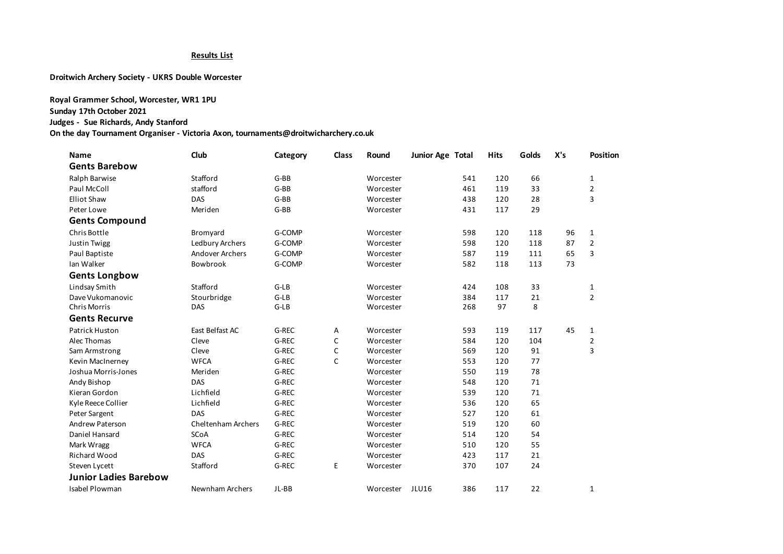## **Results List**

**Droitwich Archery Society - UKRS Double Worcester**

**Royal Grammer School, Worcester, WR1 1PU Sunday 17th October 2021 Judges - Sue Richards, Andy Stanford On the day Tournament Organiser - Victoria Axon, tournaments@droitwicharchery.co.uk**

| Name                         | Club                   | Category | Class        | Round     | Junior Age Total    | <b>Hits</b> | Golds | X's | Position       |
|------------------------------|------------------------|----------|--------------|-----------|---------------------|-------------|-------|-----|----------------|
| <b>Gents Barebow</b>         |                        |          |              |           |                     |             |       |     |                |
| Ralph Barwise                | Stafford               | $G-BB$   |              | Worcester | 541                 | 120         | 66    |     | 1              |
| Paul McColl                  | stafford               | $G-BB$   |              | Worcester | 461                 | 119         | 33    |     | $\overline{2}$ |
| <b>Elliot Shaw</b>           | DAS                    | $G-BB$   |              | Worcester | 438                 | 120         | 28    |     | 3              |
| Peter Lowe                   | Meriden                | $G-BB$   |              | Worcester | 431                 | 117         | 29    |     |                |
| <b>Gents Compound</b>        |                        |          |              |           |                     |             |       |     |                |
| Chris Bottle                 | Bromyard               | G-COMP   |              | Worcester | 598                 | 120         | 118   | 96  | $\mathbf{1}$   |
| Justin Twigg                 | Ledbury Archers        | G-COMP   |              | Worcester | 598                 | 120         | 118   | 87  | $\overline{2}$ |
| Paul Baptiste                | <b>Andover Archers</b> | G-COMP   |              | Worcester | 587                 | 119         | 111   | 65  | 3              |
| Ian Walker                   | Bowbrook               | G-COMP   |              | Worcester | 582                 | 118         | 113   | 73  |                |
| <b>Gents Longbow</b>         |                        |          |              |           |                     |             |       |     |                |
| Lindsay Smith                | Stafford               | $G-LB$   |              | Worcester | 424                 | 108         | 33    |     | 1              |
| Dave Vukomanovic             | Stourbridge            | $G-LB$   |              | Worcester | 384                 | 117         | 21    |     | $\overline{2}$ |
| <b>Chris Morris</b>          | <b>DAS</b>             | $G-LB$   |              | Worcester | 268                 | 97          | 8     |     |                |
| <b>Gents Recurve</b>         |                        |          |              |           |                     |             |       |     |                |
| Patrick Huston               | East Belfast AC        | G-REC    | Α            | Worcester | 593                 | 119         | 117   | 45  | $\mathbf{1}$   |
| Alec Thomas                  | Cleve                  | G-REC    | C            | Worcester | 584                 | 120         | 104   |     | $\overline{2}$ |
| Sam Armstrong                | Cleve                  | G-REC    | C            | Worcester | 569                 | 120         | 91    |     | 3              |
| Kevin MacInerney             | <b>WFCA</b>            | G-REC    | $\mathsf{C}$ | Worcester | 553                 | 120         | 77    |     |                |
| Joshua Morris-Jones          | Meriden                | G-REC    |              | Worcester | 550                 | 119         | 78    |     |                |
| Andy Bishop                  | DAS                    | G-REC    |              | Worcester | 548                 | 120         | 71    |     |                |
| Kieran Gordon                | Lichfield              | G-REC    |              | Worcester | 539                 | 120         | 71    |     |                |
| Kyle Reece Collier           | Lichfield              | G-REC    |              | Worcester | 536                 | 120         | 65    |     |                |
| Peter Sargent                | DAS                    | G-REC    |              | Worcester | 527                 | 120         | 61    |     |                |
| Andrew Paterson              | Cheltenham Archers     | G-REC    |              | Worcester | 519                 | 120         | 60    |     |                |
| Daniel Hansard               | <b>SCoA</b>            | G-REC    |              | Worcester | 514                 | 120         | 54    |     |                |
| Mark Wragg                   | <b>WFCA</b>            | G-REC    |              | Worcester | 510                 | 120         | 55    |     |                |
| <b>Richard Wood</b>          | <b>DAS</b>             | G-REC    |              | Worcester | 423                 | 117         | 21    |     |                |
| Steven Lycett                | Stafford               | G-REC    | E            | Worcester | 370                 | 107         | 24    |     |                |
| <b>Junior Ladies Barebow</b> |                        |          |              |           |                     |             |       |     |                |
| <b>Isabel Plowman</b>        | Newnham Archers        | JL-BB    |              | Worcester | <b>JLU16</b><br>386 | 117         | 22    |     | $\mathbf{1}$   |
|                              |                        |          |              |           |                     |             |       |     |                |